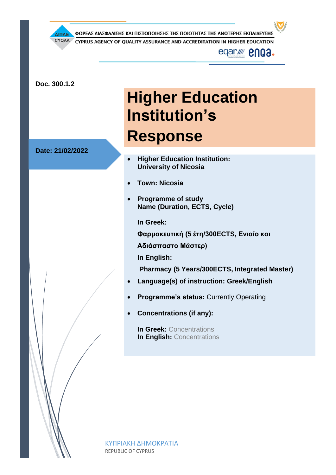ΦΟΡΕΑΣ ΔΙΑΣΦΑΛΙΣΗΣ ΚΑΙ ΠΙΣΤΟΠΟΙΗΣΗΣ ΤΗΣ ΠΟΙΟΤΗΤΑΣ ΤΗΣ ΑΝΩΤΕΡΗΣ ΕΚΠΑΙΔΕΥΣΗΣ ΔΙΠΑΕ CYQAA CYPRUS AGENCY OF QUALITY ASSURANCE AND ACCREDITATION IN HIGHER EDUCATION eqar*///*/ **enga. Doc. 300.1.2 Higher Education Institution's Response Date: 21/02/2022** • **Higher Education Institution: University of Nicosia** • **Town: Nicosia** • **Programme of study Name (Duration, ECTS, Cycle) In Greek: Φαρμακευτική (5 έτη/300ECTS, Ενιαίο και Αδιάσπαστο Μάστερ) In English: Pharmacy (5 Years/300ECTS, Integrated Master)** • **Language(s) of instruction: Greek/English Programme's status: Currently Operating** • **Concentrations (if any): In Greek:** Concentrations **In English: Concentrations** 

> ΚΥΠΡΙΑΚΗ ΔΗΜΟΚΡΑΤΙΑ REPUBLIC OF CYPRUS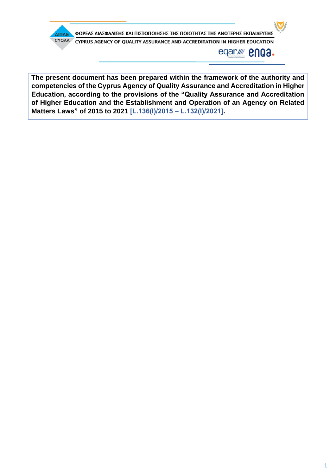

**The present document has been prepared within the framework of the authority and competencies of the Cyprus Agency of Quality Assurance and Accreditation in Higher Education, according to the provisions of the "Quality Assurance and Accreditation of Higher Education and the Establishment and Operation of an Agency on Related Matters Laws" of 2015 to 2021 [L.136(Ι)/2015 – L.132(Ι)/2021].**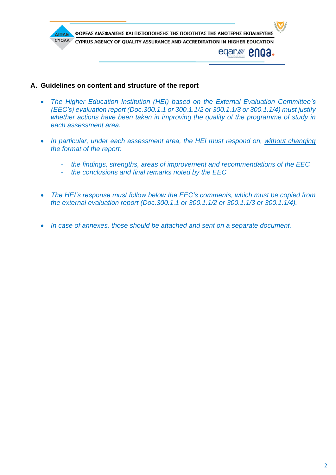

- **A. Guidelines on content and structure of the report**
	- *The Higher Education Institution (HEI) based on the External Evaluation Committee's (EEC's) evaluation report (Doc.300.1.1 or 300.1.1/2 or 300.1.1/3 or 300.1.1/4) must justify whether actions have been taken in improving the quality of the programme of study in each assessment area.*
	- *In particular, under each assessment area, the HEI must respond on, without changing the format of the report:*
		- *the findings, strengths, areas of improvement and recommendations of the EEC*
		- *the conclusions and final remarks noted by the EEC*
	- *The HEI's response must follow below the EEC's comments, which must be copied from the external evaluation report (Doc.300.1.1 or 300.1.1/2 or 300.1.1/3 or 300.1.1/4).*
	- *In case of annexes, those should be attached and sent on a separate document.*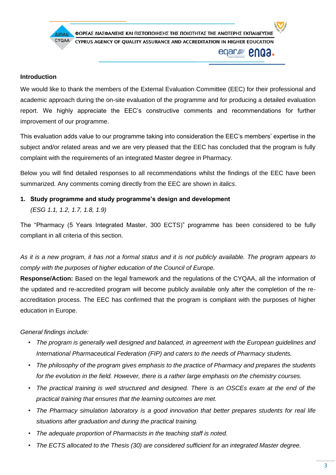

#### **Introduction**

We would like to thank the members of the External Evaluation Committee (EEC) for their professional and academic approach during the on-site evaluation of the programme and for producing a detailed evaluation report. We highly appreciate the EEC's constructive comments and recommendations for further improvement of our programme.

This evaluation adds value to our programme taking into consideration the EEC's members' expertise in the subject and/or related areas and we are very pleased that the EEC has concluded that the program is fully complaint with the requirements of an integrated Master degree in Pharmacy.

Below you will find detailed responses to all recommendations whilst the findings of the EEC have been summarized. Any comments coming directly from the EEC are shown in *italics*.

**1. Study programme and study programme's design and development**  *(ESG 1.1, 1.2, 1.7, 1.8, 1.9)*

The "Pharmacy (5 Years Integrated Master, 300 ECTS)" programme has been considered to be fully compliant in all criteria of this section.

*As it is a new program, it has not a formal status and it is not publicly available. The program appears to comply with the purposes of higher education of the Council of Europe.* 

**Response/Action:** Based on the legal framework and the regulations of the CYQAA, all the information of the updated and re-accredited program will become publicly available only after the completion of the reaccreditation process. The EEC has confirmed that the program is compliant with the purposes of higher education in Europe.

#### *General findings include:*

- *The program is generally well designed and balanced, in agreement with the European guidelines and International Pharmaceutical Federation (FIP) and caters to the needs of Pharmacy students.*
- *The philosophy of the program gives emphasis to the practice of Pharmacy and prepares the students for the evolution in the field. However, there is a rather large emphasis on the chemistry courses.*
- *The practical training is well structured and designed. There is an OSCEs exam at the end of the practical training that ensures that the learning outcomes are met.*
- *The Pharmacy simulation laboratory is a good innovation that better prepares students for real life situations after graduation and during the practical training.*
- *The adequate proportion of Pharmacists in the teaching staff is noted.*
- *The ECTS allocated to the Thesis (30) are considered sufficient for an integrated Master degree.*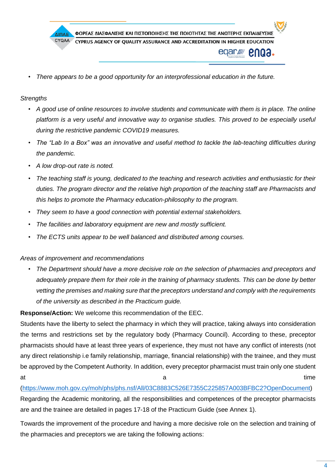

• *There appears to be a good opportunity for an interprofessional education in the future.* 

#### *Strengths*

- *A good use of online resources to involve students and communicate with them is in place. The online platform is a very useful and innovative way to organise studies. This proved to be especially useful during the restrictive pandemic COVID19 measures.*
- *The "Lab In a Box" was an innovative and useful method to tackle the lab-teaching difficulties during the pandemic.*
- *A low drop-out rate is noted.*
- *The teaching staff is young, dedicated to the teaching and research activities and enthusiastic for their duties. The program director and the relative high proportion of the teaching staff are Pharmacists and this helps to promote the Pharmacy education-philosophy to the program.*
- *They seem to have a good connection with potential external stakeholders.*
- *The facilities and laboratory equipment are new and mostly sufficient.*
- *The ECTS units appear to be well balanced and distributed among courses.*

#### *Areas of improvement and recommendations*

• *The Department should have a more decisive role on the selection of pharmacies and preceptors and adequately prepare them for their role in the training of pharmacy students. This can be done by better vetting the premises and making sure that the preceptors understand and comply with the requirements of the university as described in the Practicum guide.* 

**Response/Action:** We welcome this recommendation of the EEC.

Students have the liberty to select the pharmacy in which they will practice, taking always into consideration the terms and restrictions set by the regulatory body (Pharmacy Council). According to these, preceptor pharmacists should have at least three years of experience, they must not have any conflict of interests (not any direct relationship i.e family relationship, marriage, financial relationship) with the trainee, and they must be approved by the Competent Authority. In addition, every preceptor pharmacist must train only one student at time and the set of  $\alpha$  and the set of  $\alpha$  and time  $\alpha$ 

[\(https://www.moh.gov.cy/moh/phs/phs.nsf/All/03C8883C526E7355C225857A003BFBC2?OpenDocument\)](https://www.moh.gov.cy/moh/phs/phs.nsf/All/03C8883C526E7355C225857A003BFBC2?OpenDocument) Regarding the Academic monitoring, all the responsibilities and competences of the preceptor pharmacists are and the trainee are detailed in pages 17-18 of the Practicum Guide (see Annex 1).

Towards the improvement of the procedure and having a more decisive role on the selection and training of the pharmacies and preceptors we are taking the following actions: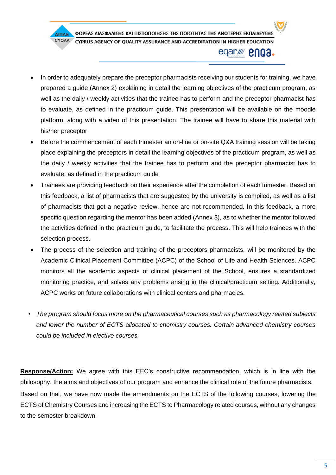#### ΦΟΡΕΑΣ ΔΙΑΣΦΑΛΙΣΗΣ ΚΑΙ ΠΙΣΤΟΠΟΙΗΣΗΣ ΤΗΣ ΠΟΙΟΤΗΤΑΣ ΤΗΣ ΑΝΩΤΕΡΗΣ ΕΚΠΑΙΔΕΥΣΗΣ ΔΙΠΑΕ CYQAA CYPRUS AGENCY OF OUALITY ASSURANCE AND ACCREDITATION IN HIGHER EDUCATION enga. eqar*lll*

- In order to adequately prepare the preceptor pharmacists receiving our students for training, we have prepared a guide (Annex 2) explaining in detail the learning objectives of the practicum program, as well as the daily / weekly activities that the trainee has to perform and the preceptor pharmacist has to evaluate, as defined in the practicum guide. This presentation will be available on the moodle platform, along with a video of this presentation. The trainee will have to share this material with his/her preceptor
- Before the commencement of each trimester an on-line or on-site Q&A training session will be taking place explaining the preceptors in detail the learning objectives of the practicum program, as well as the daily / weekly activities that the trainee has to perform and the preceptor pharmacist has to evaluate, as defined in the practicum guide
- Trainees are providing feedback on their experience after the completion of each trimester. Based on this feedback, a list of pharmacists that are suggested by the university is compiled, as well as a list of pharmacists that got a negative review, hence are not recommended. In this feedback, a more specific question regarding the mentor has been added (Annex 3), as to whether the mentor followed the activities defined in the practicum guide, to facilitate the process. This will help trainees with the selection process.
- The process of the selection and training of the preceptors pharmacists, will be monitored by the Academic Clinical Placement Committee (ACPC) of the School of Life and Health Sciences. ACPC monitors all the academic aspects of clinical placement of the School, ensures a standardized monitoring practice, and solves any problems arising in the clinical/practicum setting. Additionally, ACPC works on future collaborations with clinical centers and pharmacies.
- *The program should focus more on the pharmaceutical courses such as pharmacology related subjects and lower the number of ECTS allocated to chemistry courses. Certain advanced chemistry courses could be included in elective courses.*

**Response/Action:** We agree with this EEC's constructive recommendation, which is in line with the philosophy, the aims and objectives of our program and enhance the clinical role of the future pharmacists. Based on that, we have now made the amendments on the ECTS of the following courses, lowering the ECTS of Chemistry Courses and increasing the ECTS to Pharmacology related courses, without any changes to the semester breakdown.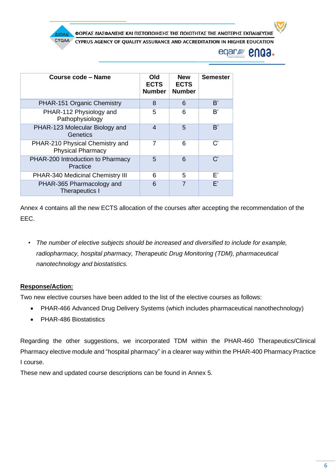ΦΟΡΕΑΣ ΔΙΑΣΦΑΛΙΣΗΣ ΚΑΙ ΠΙΣΤΟΠΟΙΗΣΗΣ ΤΗΣ ΠΟΙΟΤΗΤΑΣ ΤΗΣ ΑΝΩΤΕΡΗΣ ΕΚΠΑΙΔΕΥΣΗΣ ΔΙΠΑΕ

CYQAA CYPRUS AGENCY OF QUALITY ASSURANCE AND ACCREDITATION IN HIGHER EDUCATION

> eqar*ll* enga.

| Course code – Name                                          | Old<br><b>ECTS</b><br><b>Number</b> | <b>New</b><br><b>ECTS</b><br><b>Number</b> | <b>Semester</b>       |
|-------------------------------------------------------------|-------------------------------------|--------------------------------------------|-----------------------|
| PHAR-151 Organic Chemistry                                  | 8                                   | 6                                          | B'                    |
| PHAR-112 Physiology and<br>Pathophysiology                  | 5                                   | 6                                          | B'                    |
| PHAR-123 Molecular Biology and<br>Genetics                  | 4                                   | 5                                          | B'                    |
| PHAR-210 Physical Chemistry and<br><b>Physical Pharmacy</b> |                                     | 6                                          | $\mathsf{C}^{\prime}$ |
| PHAR-200 Introduction to Pharmacy<br>Practice               | 5                                   | 6                                          | $\mathcal{C}'$        |
| <b>PHAR-340 Medicinal Chemistry III</b>                     | 6                                   | 5                                          | F'                    |
| PHAR-365 Pharmacology and<br><b>Therapeutics I</b>          | 6                                   |                                            | F'                    |

Annex 4 contains all the new ECTS allocation of the courses after accepting the recommendation of the EEC.

• *The number of elective subjects should be increased and diversified to include for example, radiopharmacy, hospital pharmacy, Therapeutic Drug Monitoring (TDM), pharmaceutical nanotechnology and biostatistics.* 

### **Response/Action:**

Two new elective courses have been added to the list of the elective courses as follows:

- PHAR-466 Advanced Drug Delivery Systems (which includes pharmaceutical nanothechnology)
- PHAR-486 Biostatistics

Regarding the other suggestions, we incorporated TDM within the PHAR-460 Therapeutics/Clinical Pharmacy elective module and "hospital pharmacy" in a clearer way within the PHAR-400 Pharmacy Practice I course.

These new and updated course descriptions can be found in Annex 5.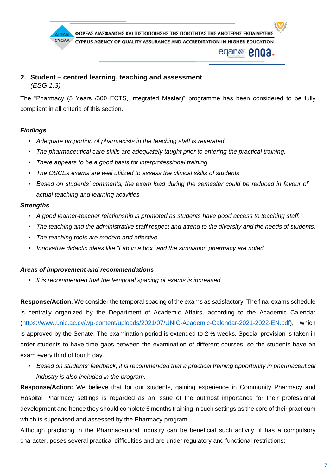

### **2. Student – centred learning, teaching and assessment**  *(ESG 1.3)*

The "Pharmacy (5 Years /300 ECTS, Integrated Master)" programme has been considered to be fully compliant in all criteria of this section.

### *Findings*

- *Adequate proportion of pharmacists in the teaching staff is reiterated.*
- *The pharmaceutical care skills are adequately taught prior to entering the practical training.*
- *There appears to be a good basis for interprofessional training.*
- *The OSCEs exams are well utilized to assess the clinical skills of students.*
- *Based on students' comments, the exam load during the semester could be reduced in favour of actual teaching and learning activities.*

#### *Strengths*

- *A good learner-teacher relationship is promoted as students have good access to teaching staff.*
- *The teaching and the administrative staff respect and attend to the diversity and the needs of students.*
- *The teaching tools are modern and effective.*
- *Innovative didactic ideas like "Lab in a box" and the simulation pharmacy are noted.*

#### *Areas of improvement and recommendations*

• *It is recommended that the temporal spacing of exams is increased.* 

**Response/Action:** We consider the temporal spacing of the exams as satisfactory. The final exams schedule is centrally organized by the Department of Academic Affairs, according to the Academic Calendar [\(https://www.unic.ac.cy/wp-content/uploads/2021/07/UNIC-Academic-Calendar-2021-2022-EN.pdf\)](https://www.unic.ac.cy/wp-content/uploads/2021/07/UNIC-Academic-Calendar-2021-2022-EN.pdf), which is approved by the Senate. The examination period is extended to  $2\frac{1}{2}$  weeks. Special provision is taken in order students to have time gaps between the examination of different courses, so the students have an exam every third of fourth day.

• *Based on students' feedback, it is recommended that a practical training opportunity in pharmaceutical industry is also included in the program.* 

**Response/Action:** We believe that for our students, gaining experience in Community Pharmacy and Hospital Pharmacy settings is regarded as an issue of the outmost importance for their professional development and hence they should complete 6 months training in such settings as the core of their practicum which is supervised and assessed by the Pharmacy program.

Although practicing in the Pharmaceutical Industry can be beneficial such activity, if has a compulsory character, poses several practical difficulties and are under regulatory and functional restrictions: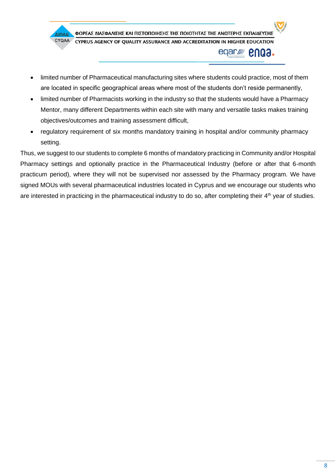

- limited number of Pharmaceutical manufacturing sites where students could practice, most of them are located in specific geographical areas where most of the students don't reside permanently,
- limited number of Pharmacists working in the industry so that the students would have a Pharmacy Mentor, many different Departments within each site with many and versatile tasks makes training objectives/outcomes and training assessment difficult,
- regulatory requirement of six months mandatory training in hospital and/or community pharmacy setting.

Thus, we suggest to our students to complete 6 months of mandatory practicing in Community and/or Hospital Pharmacy settings and optionally practice in the Pharmaceutical Industry (before or after that 6-month practicum period), where they will not be supervised nor assessed by the Pharmacy program. We have signed MOUs with several pharmaceutical industries located in Cyprus and we encourage our students who are interested in practicing in the pharmaceutical industry to do so, after completing their 4<sup>th</sup> year of studies.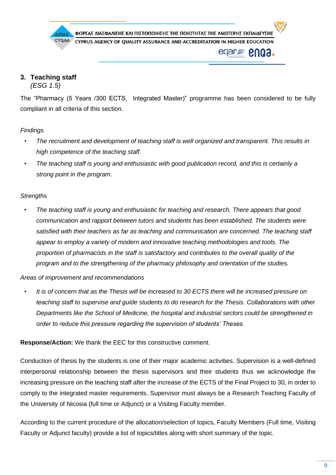

# **3. Teaching staff**

*(ESG 1.5)*

The "Pharmacy (5 Years /300 ECTS, Integrated Master)" programme has been considered to be fully compliant in all criteria of this section.

## *Findings*

- *The recruitment and development of teaching staff is well organized and transparent. This results in high competence of the teaching staff.*
- *The teaching staff is young and enthusiastic with good publication record, and this is certainly a strong point in the program.*

## *Strengths*

• *The teaching staff is young and enthusiastic for teaching and research. There appears that good communication and rapport between tutors and students has been established. The students were satisfied with their teachers as far as teaching and communication are concerned. The teaching staff appear to employ a variety of modern and innovative teaching methodologies and tools. The proportion of pharmacists in the staff is satisfactory and contributes to the overall quality of the program and to the strengthening of the pharmacy philosophy and orientation of the studies.*

### *Areas of improvement and recommendations*

• *It is of concern that as the Thesis will be increased to 30 ECTS there will be increased pressure on teaching staff to supervise and guide students to do research for the Thesis. Collaborations with other Departments like the School of Medicine, the hospital and industrial sectors could be strengthened in order to reduce this pressure regarding the supervision of students' Theses.*

**Response/Action:** We thank the EEC for this constructive comment.

Conduction of thesis by the students is one of their major academic activities. Supervision is a well-defined interpersonal relationship between the thesis supervisors and their students thus we acknowledge the increasing pressure on the teaching staff after the increase of the ECTS of the Final Project to 30, in order to comply to the integrated master requirements. Supervisor must always be a Research Teaching Faculty of the University of Nicosia (full time or Adjunct) or a Visiting Faculty member.

According to the current procedure of the allocation/selection of topics, Faculty Members (Full time, Visiting Faculty or Adjunct faculty) provide a list of topics/titles along with short summary of the topic.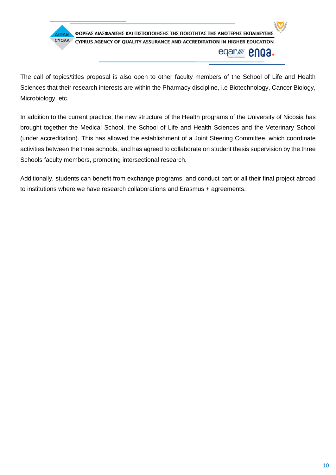

The call of topics/titles proposal is also open to other faculty members of the School of Life and Health Sciences that their research interests are within the Pharmacy discipline, i.e Biotechnology, Cancer Biology, Microbiology, etc.

In addition to the current practice, the new structure of the Health programs of the University of Nicosia has brought together the Medical School, the School of Life and Health Sciences and the Veterinary School (under accreditation). This has allowed the establishment of a Joint Steering Committee, which coordinate activities between the three schools, and has agreed to collaborate on student thesis supervision by the three Schools faculty members, promoting intersectional research.

Additionally, students can benefit from exchange programs, and conduct part or all their final project abroad to institutions where we have research collaborations and Erasmus + agreements.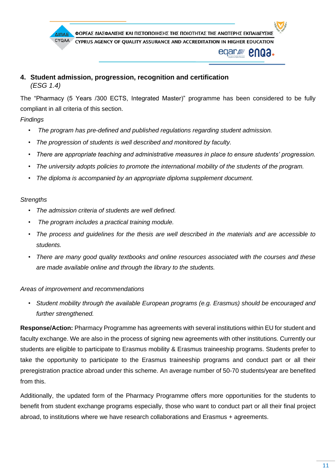

**4. Student admission, progression, recognition and certification**  *(ESG 1.4)*

The "Pharmacy (5 Years /300 ECTS, Integrated Master)" programme has been considered to be fully compliant in all criteria of this section.

### *Findings*

- *The program has pre-defined and published regulations regarding student admission.*
- *The progression of students is well described and monitored by faculty.*
- *There are appropriate teaching and administrative measures in place to ensure students' progression.*
- *The university adopts policies to promote the international mobility of the students of the program.*
- *The diploma is accompanied by an appropriate diploma supplement document.*

#### *Strengths*

- *The admission criteria of students are well defined.*
- *The program includes a practical training module.*
- *The process and guidelines for the thesis are well described in the materials and are accessible to students.*
- *There are many good quality textbooks and online resources associated with the courses and these are made available online and through the library to the students.*

#### *Areas of improvement and recommendations*

• *Student mobility through the available European programs (e.g. Erasmus) should be encouraged and further strengthened.*

**Response/Action:** Pharmacy Programme has agreements with several institutions within EU for student and faculty exchange. We are also in the process of signing new agreements with other institutions. Currently our students are eligible to participate to Erasmus mobility & Erasmus traineeship programs. Students prefer to take the opportunity to participate to the Erasmus traineeship programs and conduct part or all their preregistration practice abroad under this scheme. An average number of 50-70 students/year are benefited from this.

Additionally, the updated form of the Pharmacy Programme offers more opportunities for the students to benefit from student exchange programs especially, those who want to conduct part or all their final project abroad, to institutions where we have research collaborations and Erasmus + agreements.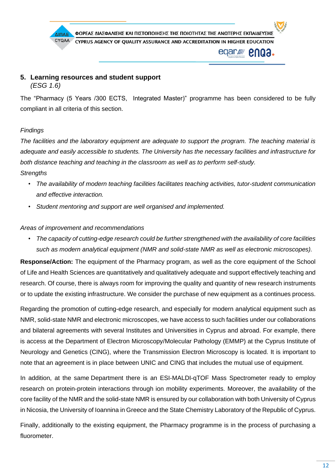

## **5. Learning resources and student support** *(ESG 1.6)*

The "Pharmacy (5 Years /300 ECTS, Integrated Master)" programme has been considered to be fully compliant in all criteria of this section.

## *Findings*

*The facilities and the laboratory equipment are adequate to support the program. The teaching material is adequate and easily accessible to students. The University has the necessary facilities and infrastructure for both distance teaching and teaching in the classroom as well as to perform self-study. Strengths* 

- *The availability of modern teaching facilities facilitates teaching activities, tutor-student communication and effective interaction.*
- *Student mentoring and support are well organised and implemented.*

### *Areas of improvement and recommendations*

• *The capacity of cutting-edge research could be further strengthened with the availability of core facilities such as modern analytical equipment (NMR and solid-state NMR as well as electronic microscopes).* 

**Response/Action:** The equipment of the Pharmacy program, as well as the core equipment of the School of Life and Health Sciences are quantitatively and qualitatively adequate and support effectively teaching and research. Of course, there is always room for improving the quality and quantity of new research instruments or to update the existing infrastructure. We consider the purchase of new equipment as a continues process.

Regarding the promotion of cutting-edge research, and especially for modern analytical equipment such as NMR, solid-state NMR and electronic microscopes, we have access to such facilities under our collaborations and bilateral agreements with several Institutes and Universities in Cyprus and abroad. For example, there is access at the Department of Electron Microscopy/Molecular Pathology (EMMP) at the Cyprus Institute of Neurology and Genetics (CING), where the Transmission Electron Microscopy is located. It is important to note that an agreement is in place between UNIC and CING that includes the mutual use of equipment.

In addition, at the same Department there is an ESI-MALDI-qTOF Mass Spectrometer ready to employ research on protein-protein interactions through ion mobility experiments. Moreover, the availability of the core facility of the NMR and the solid-state NMR is ensured by our collaboration with both University of Cyprus in Nicosia, the University of Ioannina in Greece and the State Chemistry Laboratory of the Republic of Cyprus.

Finally, additionally to the existing equipment, the Pharmacy programme is in the process of purchasing a fluorometer.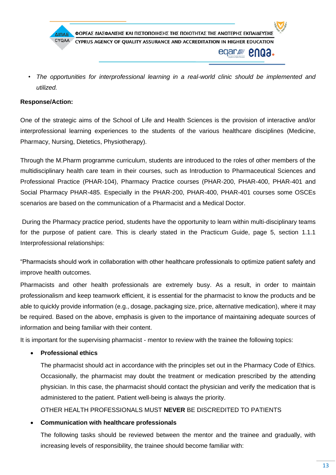

• *The opportunities for interprofessional learning in a real-world clinic should be implemented and utilized.* 

#### **Response/Action:**

One of the strategic aims of the School of Life and Health Sciences is the provision of interactive and/or interprofessional learning experiences to the students of the various healthcare disciplines (Medicine, Pharmacy, Nursing, Dietetics, Physiotherapy).

Through the M.Pharm programme curriculum, students are introduced to the roles of other members of the multidisciplinary health care team in their courses, such as Introduction to Pharmaceutical Sciences and Professional Practice (PHAR-104), Pharmacy Practice courses (PHAR-200, PHAR-400, PHAR-401 and Social Pharmacy PHAR-485. Especially in the PHAR-200, PHAR-400, PHAR-401 courses some OSCEs scenarios are based on the communication of a Pharmacist and a Medical Doctor.

During the Pharmacy practice period, students have the opportunity to learn within multi-disciplinary teams for the purpose of patient care. This is clearly stated in the Practicum Guide, page 5, section 1.1.1 Interprofessional relationships:

"Pharmacists should work in collaboration with other healthcare professionals to optimize patient safety and improve health outcomes.

Pharmacists and other health professionals are extremely busy. As a result, in order to maintain professionalism and keep teamwork efficient, it is essential for the pharmacist to know the products and be able to quickly provide information (e.g., dosage, packaging size, price, alternative medication), where it may be required. Based on the above, emphasis is given to the importance of maintaining adequate sources of information and being familiar with their content.

It is important for the supervising pharmacist - mentor to review with the trainee the following topics:

#### • **Professional ethics**

The pharmacist should act in accordance with the principles set out in the Pharmacy Code of Ethics. Occasionally, the pharmacist may doubt the treatment or medication prescribed by the attending physician. In this case, the pharmacist should contact the physician and verify the medication that is administered to the patient. Patient well-being is always the priority.

OTHER HEALTH PROFESSIONALS MUST **NEVER** BE DISCREDITED TO PATIENTS

#### • **Communication with healthcare professionals**

The following tasks should be reviewed between the mentor and the trainee and gradually, with increasing levels of responsibility, the trainee should become familiar with: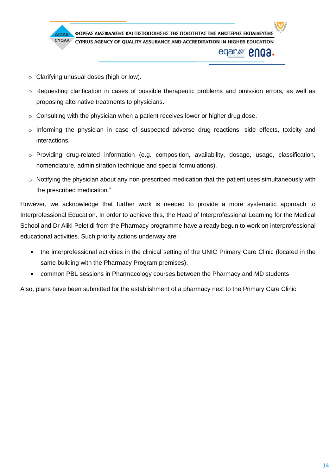

- o Clarifying unusual doses (high or low).
- o Requesting clarification in cases of possible therapeutic problems and omission errors, as well as proposing alternative treatments to physicians.
- o Consulting with the physician when a patient receives lower or higher drug dose.
- o Informing the physician in case of suspected adverse drug reactions, side effects, toxicity and interactions.
- o Providing drug-related information (e.g. composition, availability, dosage, usage, classification, nomenclature, administration technique and special formulations).
- o Notifying the physician about any non-prescribed medication that the patient uses simultaneously with the prescribed medication."

However, we acknowledge that further work is needed to provide a more systematic approach to Interprofessional Education. In order to achieve this, the Head of Interprofessional Learning for the Medical School and Dr Aliki Peletidi from the Pharmacy programme have already begun to work on interprofessional educational activities. Such priority actions underway are:

- the interprofessional activities in the clinical setting of the UNIC Primary Care Clinic (located in the same building with the Pharmacy Program premises),
- common PBL sessions in Pharmacology courses between the Pharmacy and MD students

Also, plans have been submitted for the establishment of a pharmacy next to the Primary Care Clinic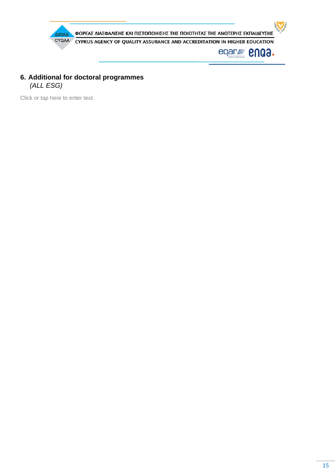

## **6. Additional for doctoral programmes** *(ALL ESG)*

Click or tap here to enter text.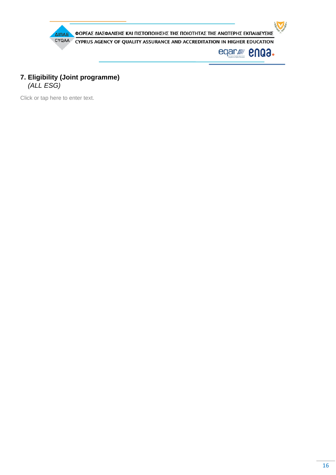

## **7. Eligibility (Joint programme)**  *(ALL ESG)*

Click or tap here to enter text.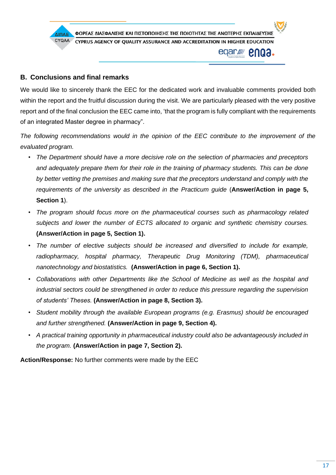

## **B. Conclusions and final remarks**

We would like to sincerely thank the EEC for the dedicated work and invaluable comments provided both within the report and the fruitful discussion during the visit. We are particularly pleased with the very positive report and of the final conclusion the EEC came into, 'that the program is fully compliant with the requirements of an integrated Master degree in pharmacy".

*The following recommendations would in the opinion of the EEC contribute to the improvement of the evaluated program.* 

- *The Department should have a more decisive role on the selection of pharmacies and preceptors and adequately prepare them for their role in the training of pharmacy students. This can be done by better vetting the premises and making sure that the preceptors understand and comply with the requirements of the university as described in the Practicum guide* (**Answer/Action in page 5, Section 1**).
- *The program should focus more on the pharmaceutical courses such as pharmacology related subjects and lower the number of ECTS allocated to organic and synthetic chemistry courses.*  **(Answer/Action in page 5, Section 1).**
- *The number of elective subjects should be increased and diversified to include for example,*  radiopharmacy, hospital pharmacy, Therapeutic Drug Monitoring (TDM), pharmaceutical *nanotechnology and biostatistics.* **(Answer/Action in page 6, Section 1).**
- *Collaborations with other Departments like the School of Medicine as well as the hospital and industrial sectors could be strengthened in order to reduce this pressure regarding the supervision of students' Theses.* **(Answer/Action in page 8, Section 3).**
- *Student mobility through the available European programs (e.g. Erasmus) should be encouraged and further strengthened.* **(Answer/Action in page 9, Section 4).**
- *A practical training opportunity in pharmaceutical industry could also be advantageously included in the program.* **(Answer/Action in page 7, Section 2).**

**Action/Response:** No further comments were made by the EEC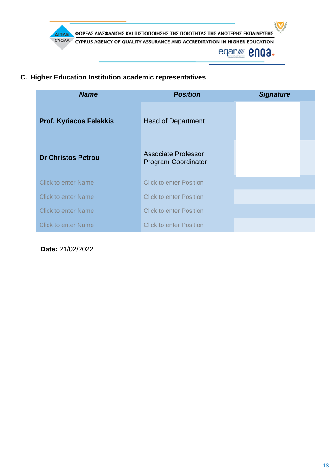

## **C. Higher Education Institution academic representatives**

| <b>Name</b>                    | <b>Position</b>                                   | <b>Signature</b> |  |
|--------------------------------|---------------------------------------------------|------------------|--|
| <b>Prof. Kyriacos Felekkis</b> | <b>Head of Department</b>                         |                  |  |
| <b>Dr Christos Petrou</b>      | Associate Professor<br><b>Program Coordinator</b> |                  |  |
| <b>Click to enter Name</b>     | <b>Click to enter Position</b>                    |                  |  |
| <b>Click to enter Name</b>     | <b>Click to enter Position</b>                    |                  |  |
| <b>Click to enter Name</b>     | <b>Click to enter Position</b>                    |                  |  |
| <b>Click to enter Name</b>     | <b>Click to enter Position</b>                    |                  |  |

**Date:** 21/02/2022